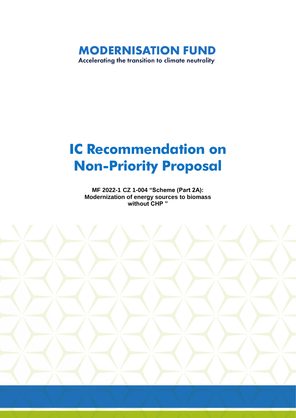**MODERNISATION FUND** Accelerating the transition to climate neutrality

# **IC Recommendation on Non-Priority Proposal**

**MF 2022-1 CZ 1-004 "Scheme (Part 2A): Modernization of energy sources to biomass without CHP "**

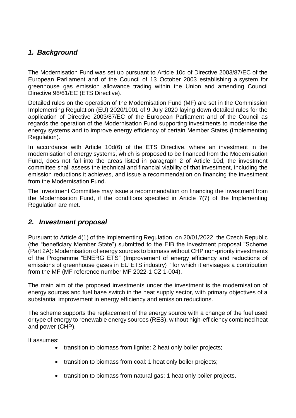# *1. Background*

The Modernisation Fund was set up pursuant to Article 10d of Directive 2003/87/EC of the European Parliament and of the Council of 13 October 2003 establishing a system for greenhouse gas emission allowance trading within the Union and amending Council Directive 96/61/EC (ETS Directive).

Detailed rules on the operation of the Modernisation Fund (MF) are set in the Commission Implementing Regulation (EU) 2020/1001 of 9 July 2020 laying down detailed rules for the application of Directive 2003/87/EC of the European Parliament and of the Council as regards the operation of the Modernisation Fund supporting investments to modernise the energy systems and to improve energy efficiency of certain Member States (Implementing Regulation).

In accordance with Article 10d(6) of the ETS Directive, where an investment in the modernisation of energy systems, which is proposed to be financed from the Modernisation Fund, does not fall into the areas listed in paragraph 2 of Article 10d, the investment committee shall assess the technical and financial viability of that investment, including the emission reductions it achieves, and issue a recommendation on financing the investment from the Modernisation Fund.

The Investment Committee may issue a recommendation on financing the investment from the Modernisation Fund, if the conditions specified in Article 7(7) of the Implementing Regulation are met.

#### *2. Investment proposal*

Pursuant to Article 4(1) of the Implementing Regulation, on 20/01/2022, the Czech Republic (the "beneficiary Member State") submitted to the EIB the investment proposal "Scheme (Part 2A): Modernisation of energy sources to biomass without CHP non-priority investments of the Programme "ENERG ETS" (Improvement of energy efficiency and reductions of emissions of greenhouse gases in EU ETS industry) " for which it envisages a contribution from the MF (MF reference number MF 2022-1 CZ 1-004).

The main aim of the proposed investments under the investment is the modernisation of energy sources and fuel base switch in the heat supply sector, with primary objectives of a substantial improvement in energy efficiency and emission reductions.

The scheme supports the replacement of the energy source with a change of the fuel used or type of energy to renewable energy sources (RES), without high-efficiency combined heat and power (CHP).

It assumes:

- transition to biomass from lignite: 2 heat only boiler projects;
- transition to biomass from coal: 1 heat only boiler projects;
- transition to biomass from natural gas: 1 heat only boiler projects.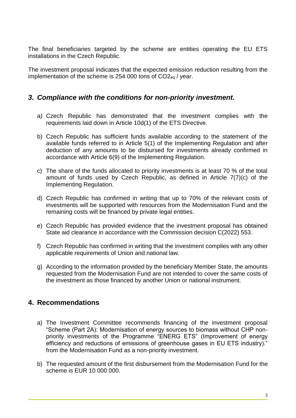The final beneficiaries targeted by the scheme are entities operating the EU ETS installations in the Czech Republic.

The investment proposal indicates that the expected emission reduction resulting from the implementation of the scheme is 254 000 tons of CO2eq / year.

#### *3. Compliance with the conditions for non-priority investment.*

- *a)* Czech Republic has demonstrated that the investment complies with the requirements laid down in Article 10d(1) of the ETS Directive.
- b) Czech Republic has sufficient funds available according to the statement of the available funds referred to in Article 5(1) of the Implementing Regulation and after deduction of any amounts to be disbursed for investments already confirmed in accordance with Article 6(9) of the Implementing Regulation.
- c) The share of the funds allocated to priority investments is at least 70 % of the total amount of funds used by Czech Republic, as defined in Article 7(7)(c) of the Implementing Regulation.
- d) Czech Republic has confirmed in writing that up to 70% of the relevant costs of investments will be supported with resources from the Modernisation Fund and the remaining costs will be financed by private legal entities.
- e) Czech Republic has provided evidence that the investment proposal has obtained State aid clearance in accordance with the Commission decision C(2022) 553.
- f) Czech Republic has confirmed in writing that the investment complies with any other applicable requirements of Union and national law.
- g) According to the information provided by the beneficiary Member State, the amounts requested from the Modernisation Fund are not intended to cover the same costs of the investment as those financed by another Union or national instrument.

## **4. Recommendations**

- a) The Investment Committee recommends financing of the investment proposal "Scheme (Part 2A): Modernisation of energy sources to biomass without CHP nonpriority investments of the Programme "ENERG ETS" (Improvement of energy efficiency and reductions of emissions of greenhouse gases in EU ETS industry)." from the Modernisation Fund as a non-priority investment.
- b) The requested amount of the first disbursement from the Modernisation Fund for the scheme is EUR 10 000 000.